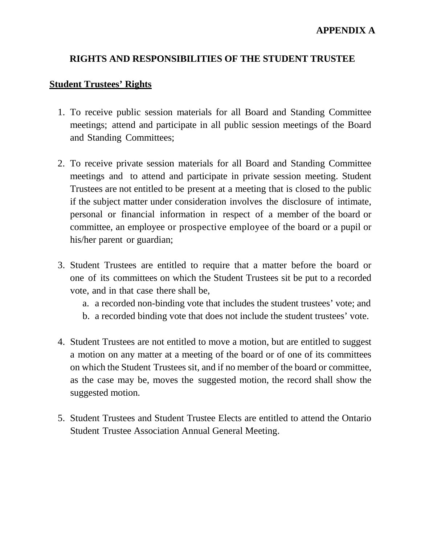## **RIGHTS AND RESPONSIBILITIES OF THE STUDENT TRUSTEE**

## **Student Trustees' Rights**

- 1. To receive public session materials for all Board and Standing Committee meetings; attend and participate in all public session meetings of the Board and Standing Committees;
- 2. To receive private session materials for all Board and Standing Committee meetings and to attend and participate in private session meeting. Student Trustees are not entitled to be present at a meeting that is closed to the public if the subject matter under consideration involves the disclosure of intimate, personal or financial information in respect of a member of the board or committee, an employee or prospective employee of the board or a pupil or his/her parent or guardian;
- 3. Student Trustees are entitled to require that a matter before the board or one of its committees on which the Student Trustees sit be put to a recorded vote, and in that case there shall be,
	- a. a recorded non-binding vote that includes the student trustees' vote; and
	- b. a recorded binding vote that does not include the student trustees' vote.
- 4. Student Trustees are not entitled to move a motion, but are entitled to suggest a motion on any matter at a meeting of the board or of one of its committees on which the Student Trustees sit, and if no member of the board or committee, as the case may be, moves the suggested motion, the record shall show the suggested motion.
- 5. Student Trustees and Student Trustee Elects are entitled to attend the Ontario Student Trustee Association Annual General Meeting.